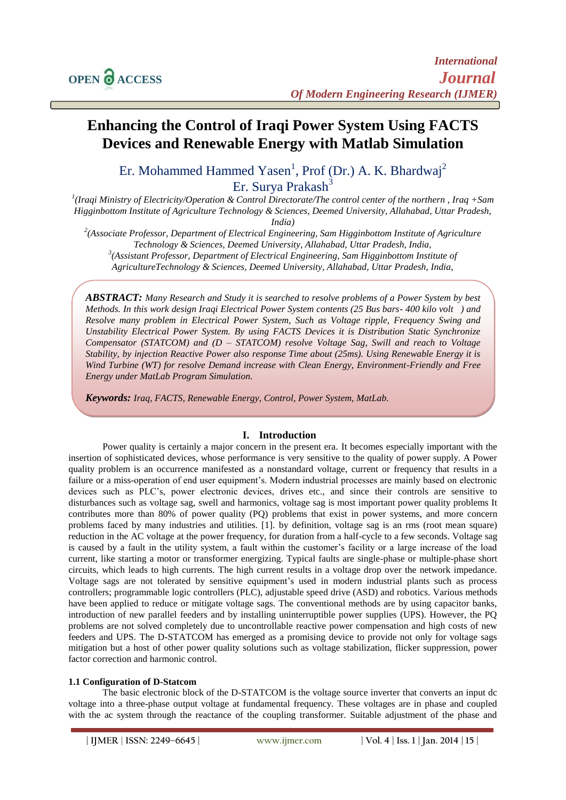# **Enhancing the Control of Iraqi Power System Using FACTS Devices and Renewable Energy with Matlab Simulation**

Er. Mohammed Hammed Yasen<sup>1</sup>, Prof (Dr.) A. K. Bhardwaj<sup>2</sup> Er. Surya Prakash<sup>3</sup>

*1 (Iraqi Ministry of Electricity/Operation & Control Directorate/The control center of the northern , Iraq +Sam Higginbottom Institute of Agriculture Technology & Sciences, Deemed University, Allahabad, Uttar Pradesh, India)*

*2 (Associate Professor, Department of Electrical Engineering, Sam Higginbottom Institute of Agriculture Technology & Sciences, Deemed University, Allahabad, Uttar Pradesh, India, 3 (Assistant Professor, Department of Electrical Engineering, Sam Higginbottom Institute of AgricultureTechnology & Sciences, Deemed University, Allahabad, Uttar Pradesh, India,*

*ABSTRACT: Many Research and Study it is searched to resolve problems of a Power System by best Methods. In this work design Iraqi Electrical Power System contents (25 Bus bars- 400 kilo volt ) and Resolve many problem in Electrical Power System, Such as Voltage ripple, Frequency Swing and Unstability Electrical Power System. By using FACTS Devices it is Distribution Static Synchronize Compensator (STATCOM) and (D – STATCOM) resolve Voltage Sag, Swill and reach to Voltage Stability, by injection Reactive Power also response Time about (25ms). Using Renewable Energy it is Wind Turbine (WT) for resolve Demand increase with Clean Energy, Environment-Friendly and Free Energy under MatLab Program Simulation.*

*Keywords: Iraq, FACTS, Renewable Energy, Control, Power System, MatLab.*

### **I. Introduction**

Power quality is certainly a major concern in the present era. It becomes especially important with the insertion of sophisticated devices, whose performance is very sensitive to the quality of power supply. A Power quality problem is an occurrence manifested as a nonstandard voltage, current or frequency that results in a failure or a miss-operation of end user equipment's. Modern industrial processes are mainly based on electronic devices such as PLC"s, power electronic devices, drives etc., and since their controls are sensitive to disturbances such as voltage sag, swell and harmonics, voltage sag is most important power quality problems It contributes more than 80% of power quality (PQ) problems that exist in power systems, and more concern problems faced by many industries and utilities. [1]. by definition, voltage sag is an rms (root mean square) reduction in the AC voltage at the power frequency, for duration from a half-cycle to a few seconds. Voltage sag is caused by a fault in the utility system, a fault within the customer"s facility or a large increase of the load current, like starting a motor or transformer energizing. Typical faults are single-phase or multiple-phase short circuits, which leads to high currents. The high current results in a voltage drop over the network impedance. Voltage sags are not tolerated by sensitive equipment"s used in modern industrial plants such as process controllers; programmable logic controllers (PLC), adjustable speed drive (ASD) and robotics. Various methods have been applied to reduce or mitigate voltage sags. The conventional methods are by using capacitor banks, introduction of new parallel feeders and by installing uninterruptible power supplies (UPS). However, the PQ problems are not solved completely due to uncontrollable reactive power compensation and high costs of new feeders and UPS. The D-STATCOM has emerged as a promising device to provide not only for voltage sags mitigation but a host of other power quality solutions such as voltage stabilization, flicker suppression, power factor correction and harmonic control.

### **1.1 Configuration of D-Statcom**

The basic electronic block of the D-STATCOM is the voltage source inverter that converts an input dc voltage into a three-phase output voltage at fundamental frequency. These voltages are in phase and coupled with the ac system through the reactance of the coupling transformer. Suitable adjustment of the phase and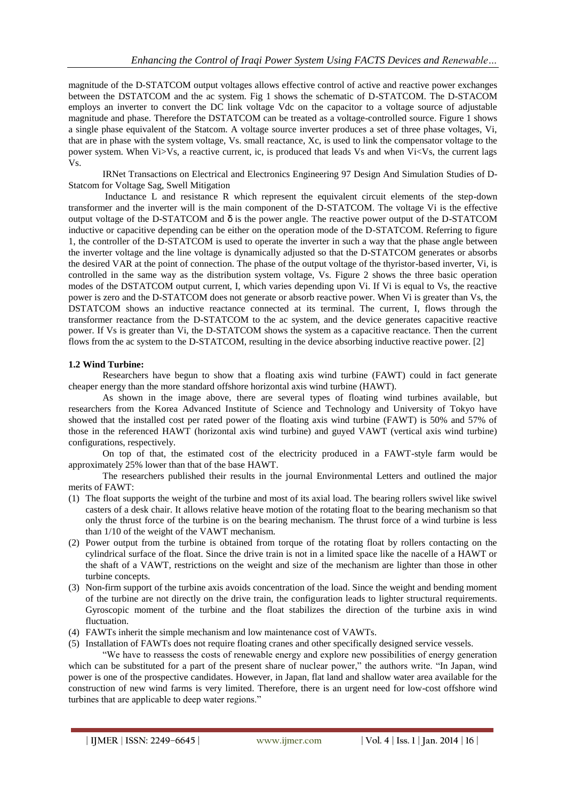magnitude of the D-STATCOM output voltages allows effective control of active and reactive power exchanges between the DSTATCOM and the ac system. Fig 1 shows the schematic of D-STATCOM. The D-STACOM employs an inverter to convert the DC link voltage Vdc on the capacitor to a voltage source of adjustable magnitude and phase. Therefore the DSTATCOM can be treated as a voltage-controlled source. Figure 1 shows a single phase equivalent of the Statcom. A voltage source inverter produces a set of three phase voltages, Vi, that are in phase with the system voltage, Vs. small reactance, Xc, is used to link the compensator voltage to the power system. When  $Vi > Vs$ , a reactive current, ic, is produced that leads Vs and when  $Vi < Vs$ , the current lags Vs.

IRNet Transactions on Electrical and Electronics Engineering 97 Design And Simulation Studies of D-Statcom for Voltage Sag, Swell Mitigation

Inductance L and resistance R which represent the equivalent circuit elements of the step-down transformer and the inverter will is the main component of the D-STATCOM. The voltage Vi is the effective output voltage of the D-STATCOM and δ is the power angle. The reactive power output of the D-STATCOM inductive or capacitive depending can be either on the operation mode of the D-STATCOM. Referring to figure 1, the controller of the D-STATCOM is used to operate the inverter in such a way that the phase angle between the inverter voltage and the line voltage is dynamically adjusted so that the D-STATCOM generates or absorbs the desired VAR at the point of connection. The phase of the output voltage of the thyristor-based inverter, Vi, is controlled in the same way as the distribution system voltage, Vs. Figure 2 shows the three basic operation modes of the DSTATCOM output current, I, which varies depending upon Vi. If Vi is equal to Vs, the reactive power is zero and the D-STATCOM does not generate or absorb reactive power. When Vi is greater than Vs, the DSTATCOM shows an inductive reactance connected at its terminal. The current, I, flows through the transformer reactance from the D-STATCOM to the ac system, and the device generates capacitive reactive power. If Vs is greater than Vi, the D-STATCOM shows the system as a capacitive reactance. Then the current flows from the ac system to the D-STATCOM, resulting in the device absorbing inductive reactive power. [2]

#### **1.2 Wind Turbine:**

Researchers have begun to show that a floating axis wind turbine (FAWT) could in fact generate cheaper energy than the more standard offshore horizontal axis wind turbine (HAWT).

As shown in the image above, there are several types of floating wind turbines available, but researchers from the Korea Advanced Institute of Science and Technology and University of Tokyo have showed that the installed cost per rated power of the floating axis wind turbine (FAWT) is 50% and 57% of those in the referenced HAWT (horizontal axis wind turbine) and guyed VAWT (vertical axis wind turbine) configurations, respectively.

On top of that, the estimated cost of the electricity produced in a FAWT-style farm would be approximately 25% lower than that of the base HAWT.

The researchers published their results in the journal Environmental Letters and outlined the major merits of FAWT:

- (1) The float supports the weight of the turbine and most of its axial load. The bearing rollers swivel like swivel casters of a desk chair. It allows relative heave motion of the rotating float to the bearing mechanism so that only the thrust force of the turbine is on the bearing mechanism. The thrust force of a wind turbine is less than 1/10 of the weight of the VAWT mechanism.
- (2) Power output from the turbine is obtained from torque of the rotating float by rollers contacting on the cylindrical surface of the float. Since the drive train is not in a limited space like the nacelle of a HAWT or the shaft of a VAWT, restrictions on the weight and size of the mechanism are lighter than those in other turbine concepts.
- (3) Non-firm support of the turbine axis avoids concentration of the load. Since the weight and bending moment of the turbine are not directly on the drive train, the configuration leads to lighter structural requirements. Gyroscopic moment of the turbine and the float stabilizes the direction of the turbine axis in wind fluctuation.
- (4) FAWTs inherit the simple mechanism and low maintenance cost of VAWTs.
- (5) Installation of FAWTs does not require floating cranes and other specifically designed service vessels.

"We have to reassess the costs of renewable energy and explore new possibilities of energy generation which can be substituted for a part of the present share of nuclear power," the authors write. "In Japan, wind power is one of the prospective candidates. However, in Japan, flat land and shallow water area available for the construction of new wind farms is very limited. Therefore, there is an urgent need for low-cost offshore wind turbines that are applicable to deep water regions."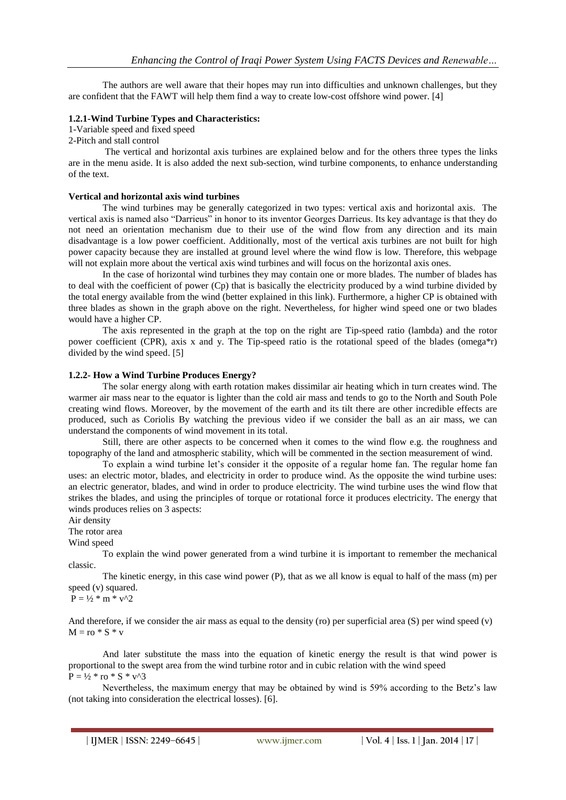The authors are well aware that their hopes may run into difficulties and unknown challenges, but they are confident that the FAWT will help them find a way to create low-cost offshore wind power. [4]

#### **1.2.1-Wind Turbine Types and Characteristics:**

1-Variable speed and fixed speed

## 2-Pitch and stall control

The vertical and horizontal axis turbines are explained below and for the others three types the links are in the menu aside. It is also added the next sub-section, wind turbine components, to enhance understanding of the text.

#### **Vertical and horizontal axis wind turbines**

The wind turbines may be generally categorized in two types: vertical axis and horizontal axis. The vertical axis is named also "Darrieus" in honor to its inventor Georges Darrieus. Its key advantage is that they do not need an orientation mechanism due to their use of the wind flow from any direction and its main disadvantage is a low power coefficient. Additionally, most of the vertical axis turbines are not built for high power capacity because they are installed at ground level where the wind flow is low. Therefore, this webpage will not explain more about the vertical axis wind turbines and will focus on the horizontal axis ones.

In the case of horizontal wind turbines they may contain one or more blades. The number of blades has to deal with the coefficient of power (Cp) that is basically the electricity produced by a wind turbine divided by the total energy available from the wind (better explained in this link). Furthermore, a higher CP is obtained with three blades as shown in the graph above on the right. Nevertheless, for higher wind speed one or two blades would have a higher CP.

The axis represented in the graph at the top on the right are Tip-speed ratio (lambda) and the rotor power coefficient (CPR), axis x and y. The Tip-speed ratio is the rotational speed of the blades (omega\*r) divided by the wind speed. [5]

#### **1.2.2- How a Wind Turbine Produces Energy?**

The solar energy along with earth rotation makes dissimilar air heating which in turn creates wind. The warmer air mass near to the equator is lighter than the cold air mass and tends to go to the North and South Pole creating wind flows. Moreover, by the movement of the earth and its tilt there are other incredible effects are produced, such as Coriolis By watching the previous video if we consider the ball as an air mass, we can understand the components of wind movement in its total.

Still, there are other aspects to be concerned when it comes to the wind flow e.g. the roughness and topography of the land and atmospheric stability, which will be commented in the section measurement of wind.

To explain a wind turbine let"s consider it the opposite of a regular home fan. The regular home fan uses: an electric motor, blades, and electricity in order to produce wind. As the opposite the wind turbine uses: an electric generator, blades, and wind in order to produce electricity. The wind turbine uses the wind flow that strikes the blades, and using the principles of torque or rotational force it produces electricity. The energy that winds produces relies on 3 aspects:

Air density

The rotor area

Wind speed

To explain the wind power generated from a wind turbine it is important to remember the mechanical classic.

The kinetic energy, in this case wind power (P), that as we all know is equal to half of the mass (m) per speed (v) squared.

 $P = \frac{1}{2} * m * v^2$ 

And therefore, if we consider the air mass as equal to the density (ro) per superficial area (S) per wind speed  $(v)$  $M = ro * S * v$ 

And later substitute the mass into the equation of kinetic energy the result is that wind power is proportional to the swept area from the wind turbine rotor and in cubic relation with the wind speed  $P = \frac{1}{2} * r0 * S * v^{3}$ 

Nevertheless, the maximum energy that may be obtained by wind is 59% according to the Betz"s law (not taking into consideration the electrical losses). [6].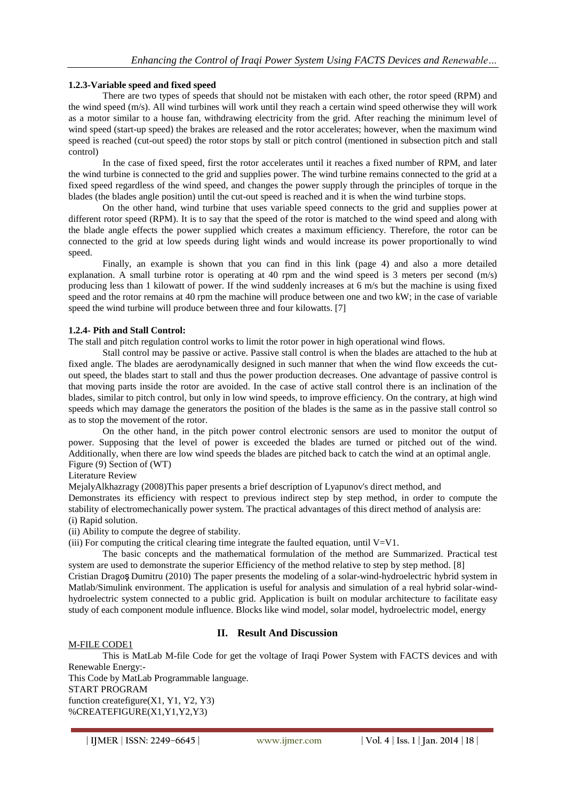## **1.2.3-Variable speed and fixed speed**

There are two types of speeds that should not be mistaken with each other, the rotor speed (RPM) and the wind speed (m/s). All wind turbines will work until they reach a certain wind speed otherwise they will work as a motor similar to a house fan, withdrawing electricity from the grid. After reaching the minimum level of wind speed (start-up speed) the brakes are released and the rotor accelerates; however, when the maximum wind speed is reached (cut-out speed) the rotor stops by stall or pitch control (mentioned in subsection pitch and stall control)

In the case of fixed speed, first the rotor accelerates until it reaches a fixed number of RPM, and later the wind turbine is connected to the grid and supplies power. The wind turbine remains connected to the grid at a fixed speed regardless of the wind speed, and changes the power supply through the principles of torque in the blades (the blades angle position) until the cut-out speed is reached and it is when the wind turbine stops.

On the other hand, wind turbine that uses variable speed connects to the grid and supplies power at different rotor speed (RPM). It is to say that the speed of the rotor is matched to the wind speed and along with the blade angle effects the power supplied which creates a maximum efficiency. Therefore, the rotor can be connected to the grid at low speeds during light winds and would increase its power proportionally to wind speed.

Finally, an example is shown that you can find in this link (page 4) and also a more detailed explanation. A small turbine rotor is operating at 40 rpm and the wind speed is 3 meters per second  $(m/s)$ producing less than 1 kilowatt of power. If the wind suddenly increases at 6 m/s but the machine is using fixed speed and the rotor remains at 40 rpm the machine will produce between one and two kW; in the case of variable speed the wind turbine will produce between three and four kilowatts. [7]

## **1.2.4- Pith and Stall Control:**

The stall and pitch regulation control works to limit the rotor power in high operational wind flows.

Stall control may be passive or active. Passive stall control is when the blades are attached to the hub at fixed angle. The blades are aerodynamically designed in such manner that when the wind flow exceeds the cutout speed, the blades start to stall and thus the power production decreases. One advantage of passive control is that moving parts inside the rotor are avoided. In the case of active stall control there is an inclination of the blades, similar to pitch control, but only in low wind speeds, to improve efficiency. On the contrary, at high wind speeds which may damage the generators the position of the blades is the same as in the passive stall control so as to stop the movement of the rotor.

On the other hand, in the pitch power control electronic sensors are used to monitor the output of power. Supposing that the level of power is exceeded the blades are turned or pitched out of the wind. Additionally, when there are low wind speeds the blades are pitched back to catch the wind at an optimal angle. Figure (9) Section of (WT)

## Literature Review

MejalyAlkhazragy (2008)This paper presents a brief description of Lyapunov's direct method, and

Demonstrates its efficiency with respect to previous indirect step by step method, in order to compute the stability of electromechanically power system. The practical advantages of this direct method of analysis are: (i) Rapid solution.

(ii) Ability to compute the degree of stability.

(iii) For computing the critical clearing time integrate the faulted equation, until  $V=V1$ .

The basic concepts and the mathematical formulation of the method are Summarized. Practical test system are used to demonstrate the superior Efficiency of the method relative to step by step method. [8] Cristian Dragoş Dumitru (2010) The paper presents the modeling of a solar-wind-hydroelectric hybrid system in Matlab/Simulink environment. The application is useful for analysis and simulation of a real hybrid solar-windhydroelectric system connected to a public grid. Application is built on modular architecture to facilitate easy study of each component module influence. Blocks like wind model, solar model, hydroelectric model, energy

#### M-FILE CODE1

## **II. Result And Discussion**

This is MatLab M-file Code for get the voltage of Iraqi Power System with FACTS devices and with Renewable Energy:-

This Code by MatLab Programmable language. START PROGRAM function createfigure(X1, Y1, Y2, Y3) %CREATEFIGURE(X1,Y1,Y2,Y3)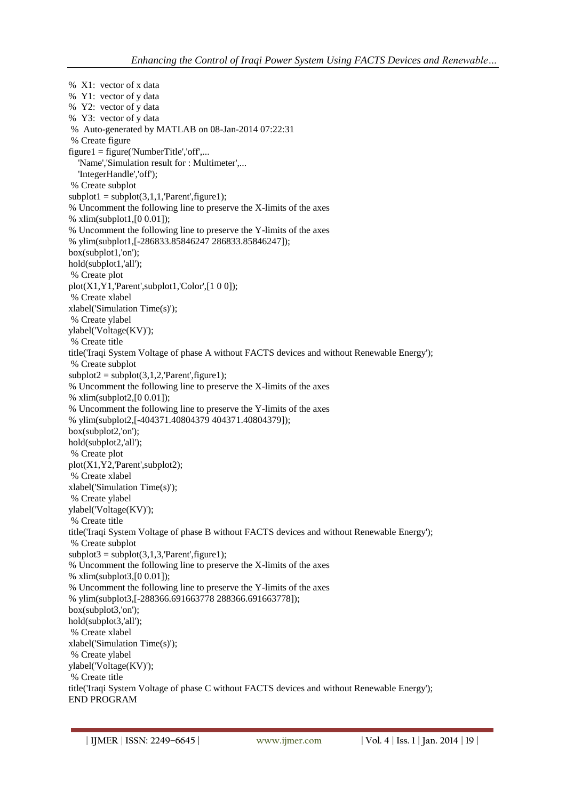% X1: vector of x data % Y1: vector of y data % Y2: vector of y data % Y3: vector of y data % Auto-generated by MATLAB on 08-Jan-2014 07:22:31 % Create figure  $figure1 = figure('NumberTitle', 'off'...$  'Name','Simulation result for : Multimeter',... 'IntegerHandle','off'); % Create subplot  $subplot1 = subplot(3,1,1, 'Parent', figure1);$ % Uncomment the following line to preserve the X-limits of the axes %  $xlim(subplot1,[0 0.01]):$ % Uncomment the following line to preserve the Y-limits of the axes % ylim(subplot1,[-286833.85846247 286833.85846247]); box(subplot1,'on'); hold(subplot1,'all'); % Create plot plot(X1,Y1,'Parent',subplot1,'Color', $[1 0 0]$ ); % Create xlabel xlabel('Simulation Time(s)'); % Create ylabel ylabel('Voltage(KV)'); % Create title title('Iraqi System Voltage of phase A without FACTS devices and without Renewable Energy'); % Create subplot  $subplot2 = subplot(3,1,2, 'Parent', figure1);$ % Uncomment the following line to preserve the X-limits of the axes %  $xlim(subplot2,[0 0.01]):$ % Uncomment the following line to preserve the Y-limits of the axes % ylim(subplot2,[-404371.40804379 404371.40804379]); box(subplot2,'on'); hold(subplot2,'all'); % Create plot plot(X1,Y2,'Parent',subplot2); % Create xlabel xlabel('Simulation Time(s)'); % Create ylabel ylabel('Voltage(KV)'); % Create title title('Iraqi System Voltage of phase B without FACTS devices and without Renewable Energy'); % Create subplot  $subplot3 = subplot(3,1,3, 'Parent', figure1);$ % Uncomment the following line to preserve the X-limits of the axes % xlim(subplot3,[0 0.01]); % Uncomment the following line to preserve the Y-limits of the axes % ylim(subplot3,[-288366.691663778 288366.691663778]); box(subplot3,'on'); hold(subplot3,'all'); % Create xlabel xlabel('Simulation Time(s)'); % Create ylabel ylabel('Voltage(KV)'); % Create title title('Iraqi System Voltage of phase C without FACTS devices and without Renewable Energy'); END PROGRAM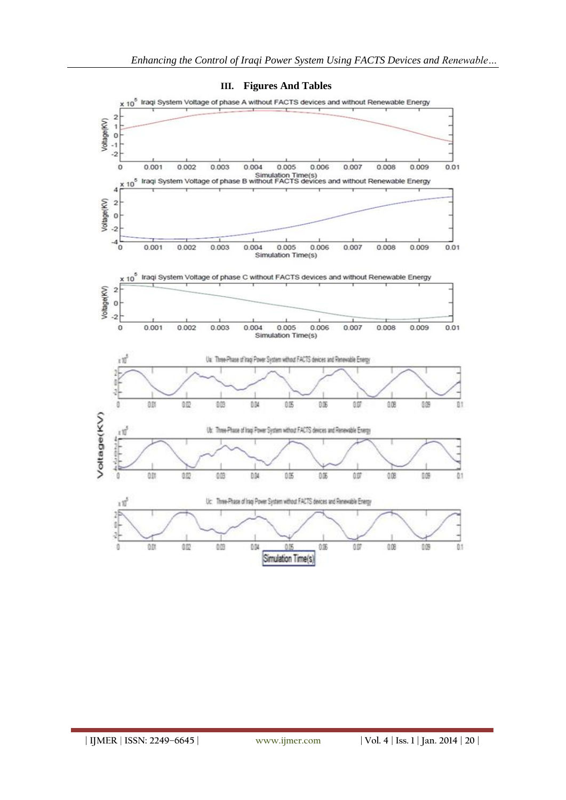

#### **III. Figures And Tables**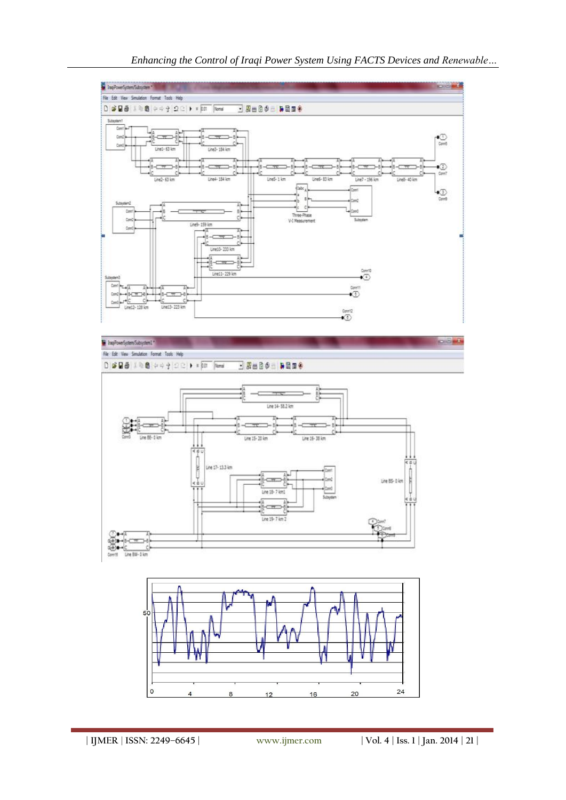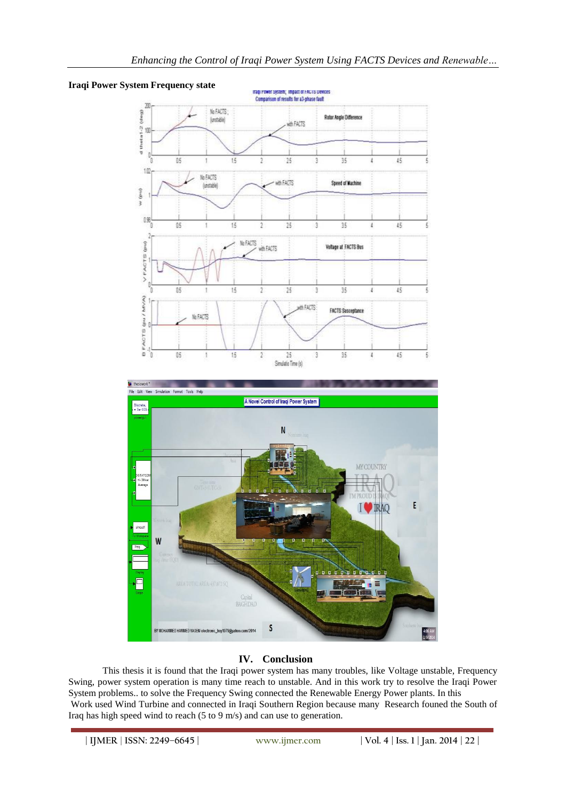## **Iraqi Power System Frequency state**





## **IV. Conclusion**

This thesis it is found that the Iraqi power system has many troubles, like Voltage unstable, Frequency Swing, power system operation is many time reach to unstable. And in this work try to resolve the Iraqi Power System problems.. to solve the Frequency Swing connected the Renewable Energy Power plants. In this Work used Wind Turbine and connected in Iraqi Southern Region because many Research founed the South of Iraq has high speed wind to reach (5 to 9 m/s) and can use to generation.